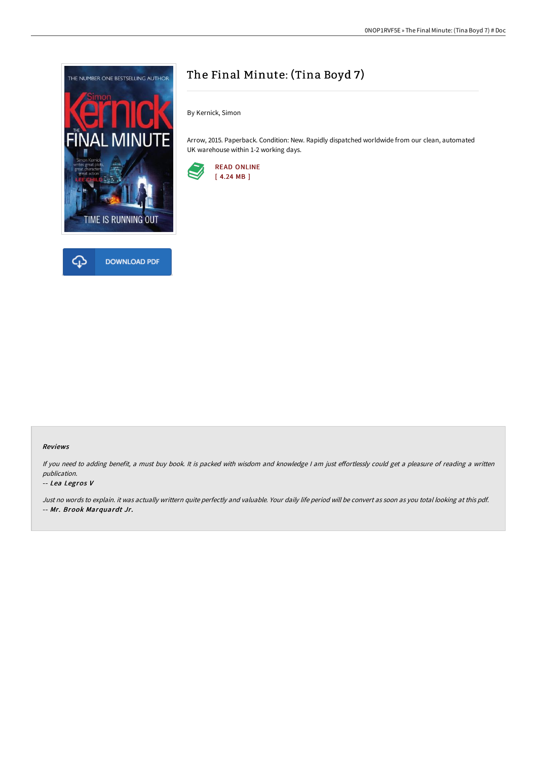



# The Final Minute: (Tina Boyd 7)

By Kernick, Simon

Arrow, 2015. Paperback. Condition: New. Rapidly dispatched worldwide from our clean, automated UK warehouse within 1-2 working days.



#### Reviews

If you need to adding benefit, a must buy book. It is packed with wisdom and knowledge I am just effortlessly could get a pleasure of reading a written publication.

#### -- Lea Legros V

Just no words to explain. it was actually writtern quite perfectly and valuable. Your daily life period will be convert as soon as you total looking at this pdf. -- Mr. Brook Marquardt Jr.